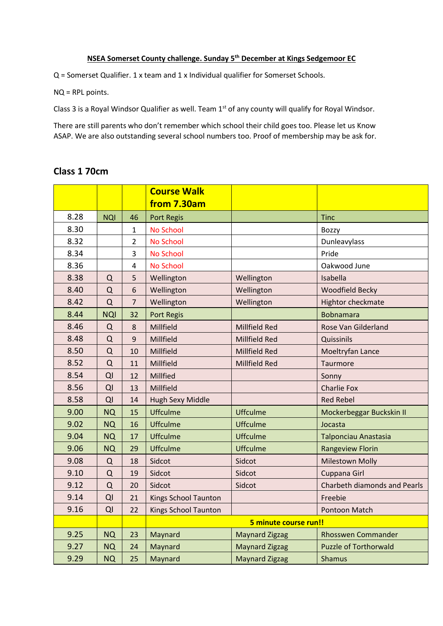#### **NSEA Somerset County challenge. Sunday 5th December at Kings Sedgemoor EC**

Q = Somerset Qualifier. 1 x team and 1 x Individual qualifier for Somerset Schools.

NQ = RPL points.

Class 3 is a Royal Windsor Qualifier as well. Team 1<sup>st</sup> of any county will qualify for Royal Windsor.

There are still parents who don't remember which school their child goes too. Please let us Know ASAP. We are also outstanding several school numbers too. Proof of membership may be ask for.

#### **Class 1 70cm**

|      |            |                         | <b>Course Walk</b>          |                       |                                     |
|------|------------|-------------------------|-----------------------------|-----------------------|-------------------------------------|
|      |            |                         | from 7.30am                 |                       |                                     |
| 8.28 | <b>NQI</b> | 46                      | <b>Port Regis</b>           |                       | <b>Tinc</b>                         |
| 8.30 |            | 1                       | No School                   |                       | <b>Bozzy</b>                        |
| 8.32 |            | 2                       | <b>No School</b>            |                       | Dunleavylass                        |
| 8.34 |            | 3                       | <b>No School</b>            |                       | Pride                               |
| 8.36 |            | $\overline{\mathbf{4}}$ | <b>No School</b>            |                       | Oakwood June                        |
| 8.38 | Q          | 5                       | Wellington                  | Wellington            | Isabella                            |
| 8.40 | Q          | 6                       | Wellington                  | Wellington            | <b>Woodfield Becky</b>              |
| 8.42 | Q          | $\overline{7}$          | Wellington                  | Wellington            | <b>Hightor checkmate</b>            |
| 8.44 | <b>NQI</b> | 32                      | <b>Port Regis</b>           |                       | <b>Bobnamara</b>                    |
| 8.46 | Q          | 8                       | Millfield                   | Millfield Red         | Rose Van Gilderland                 |
| 8.48 | Q          | 9                       | Millfield                   | Millfield Red         | Quissinils                          |
| 8.50 | Q          | 10                      | Millfield                   | Millfield Red         | Moeltryfan Lance                    |
| 8.52 | Q          | 11                      | Millfield                   | Millfield Red         | Taurmore                            |
| 8.54 | QI         | 12                      | Millfied                    |                       | Sonny                               |
| 8.56 | QI         | 13                      | Millfield                   |                       | <b>Charlie Fox</b>                  |
| 8.58 | QI         | 14                      | <b>Hugh Sexy Middle</b>     |                       | <b>Red Rebel</b>                    |
| 9.00 | <b>NQ</b>  | 15                      | <b>Uffculme</b>             | <b>Uffculme</b>       | Mockerbeggar Buckskin II            |
| 9.02 | <b>NQ</b>  | 16                      | <b>Uffculme</b>             | <b>Uffculme</b>       | Jocasta                             |
| 9.04 | <b>NQ</b>  | 17                      | <b>Uffculme</b>             | <b>Uffculme</b>       | <b>Talponciau Anastasia</b>         |
| 9.06 | <b>NQ</b>  | 29                      | <b>Uffculme</b>             | <b>Uffculme</b>       | <b>Rangeview Florin</b>             |
| 9.08 | Q          | 18                      | Sidcot                      | Sidcot                | <b>Milestown Molly</b>              |
| 9.10 | Q          | 19                      | Sidcot                      | Sidcot                | Cuppana Girl                        |
| 9.12 | Q          | 20                      | Sidcot                      | Sidcot                | <b>Charbeth diamonds and Pearls</b> |
| 9.14 | QI         | 21                      | Kings School Taunton        |                       | Freebie                             |
| 9.16 | QI         | 22                      | <b>Kings School Taunton</b> |                       | Pontoon Match                       |
|      |            |                         |                             | 5 minute course run!! |                                     |
| 9.25 | <b>NQ</b>  | 23                      | Maynard                     | <b>Maynard Zigzag</b> | <b>Rhosswen Commander</b>           |
| 9.27 | <b>NQ</b>  | 24                      | Maynard                     | <b>Maynard Zigzag</b> | <b>Puzzle of Torthorwald</b>        |
| 9.29 | <b>NQ</b>  | 25                      | Maynard                     | <b>Maynard Zigzag</b> | <b>Shamus</b>                       |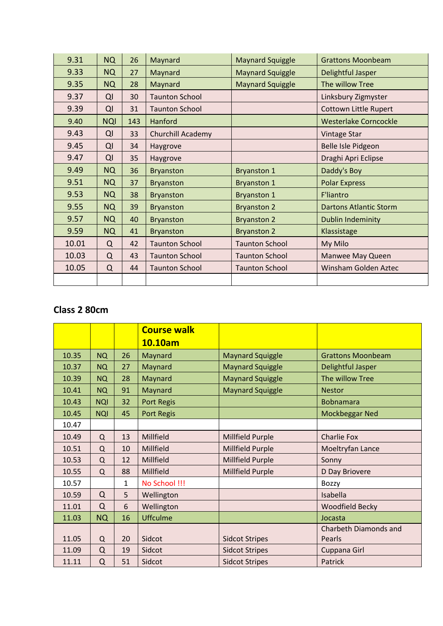| 9.31  | <b>NQ</b>  | 26  | Maynard               | <b>Maynard Squiggle</b> | <b>Grattons Moonbeam</b>      |
|-------|------------|-----|-----------------------|-------------------------|-------------------------------|
| 9.33  | <b>NQ</b>  | 27  | Maynard               | <b>Maynard Squiggle</b> | Delightful Jasper             |
| 9.35  | <b>NQ</b>  | 28  | Maynard               | <b>Maynard Squiggle</b> | The willow Tree               |
| 9.37  | QI         | 30  | <b>Taunton School</b> |                         | Linksbury Zigmyster           |
| 9.39  | QI         | 31  | <b>Taunton School</b> |                         | <b>Cottown Little Rupert</b>  |
| 9.40  | <b>NQI</b> | 143 | Hanford               |                         | <b>Westerlake Corncockle</b>  |
| 9.43  | QI         | 33  | Churchill Academy     |                         | <b>Vintage Star</b>           |
| 9.45  | QI         | 34  | Haygrove              |                         | Belle Isle Pidgeon            |
| 9.47  | QI         | 35  | Haygrove              |                         | Draghi Apri Eclipse           |
| 9.49  | <b>NQ</b>  | 36  | <b>Bryanston</b>      | <b>Bryanston 1</b>      | Daddy's Boy                   |
| 9.51  | <b>NQ</b>  | 37  | <b>Bryanston</b>      | <b>Bryanston 1</b>      | <b>Polar Express</b>          |
| 9.53  | <b>NQ</b>  | 38  | <b>Bryanston</b>      | <b>Bryanston 1</b>      | <b>F'liantro</b>              |
| 9.55  | <b>NQ</b>  | 39  | <b>Bryanston</b>      | <b>Bryanston 2</b>      | <b>Dartons Atlantic Storm</b> |
| 9.57  | <b>NQ</b>  | 40  | <b>Bryanston</b>      | <b>Bryanston 2</b>      | <b>Dublin Indeminity</b>      |
| 9.59  | <b>NQ</b>  | 41  | <b>Bryanston</b>      | <b>Bryanston 2</b>      | Klassistage                   |
| 10.01 | Q          | 42  | <b>Taunton School</b> | <b>Taunton School</b>   | My Milo                       |
| 10.03 | $\Omega$   | 43  | <b>Taunton School</b> | <b>Taunton School</b>   | <b>Manwee May Queen</b>       |
| 10.05 | Q          | 44  | <b>Taunton School</b> | <b>Taunton School</b>   | Winsham Golden Aztec          |
|       |            |     |                       |                         |                               |

# **Class 2 80cm**

|       |            |    | <b>Course walk</b> |                         |                          |
|-------|------------|----|--------------------|-------------------------|--------------------------|
|       |            |    | 10.10am            |                         |                          |
| 10.35 | <b>NQ</b>  | 26 | Maynard            | <b>Maynard Squiggle</b> | <b>Grattons Moonbeam</b> |
| 10.37 | <b>NQ</b>  | 27 | Maynard            | <b>Maynard Squiggle</b> | Delightful Jasper        |
| 10.39 | <b>NQ</b>  | 28 | Maynard            | <b>Maynard Squiggle</b> | The willow Tree          |
| 10.41 | <b>NQ</b>  | 91 | Maynard            | <b>Maynard Squiggle</b> | <b>Nestor</b>            |
| 10.43 | <b>NQI</b> | 32 | Port Regis         |                         | <b>Bobnamara</b>         |
| 10.45 | <b>NQI</b> | 45 | <b>Port Regis</b>  |                         | Mockbeggar Ned           |
| 10.47 |            |    |                    |                         |                          |
| 10.49 | Q          | 13 | Millfield          | <b>Millfield Purple</b> | <b>Charlie Fox</b>       |
| 10.51 | Q          | 10 | Millfield          | Millfield Purple        | Moeltryfan Lance         |
| 10.53 | Q          | 12 | Millfield          | <b>Millfield Purple</b> | Sonny                    |
| 10.55 | $\Omega$   | 88 | Millfield          | Millfield Purple        | D Day Briovere           |
| 10.57 |            | 1  | No School !!!      |                         | Bozzy                    |
| 10.59 | $\Omega$   | 5  | Wellington         |                         | Isabella                 |
| 11.01 | $\Omega$   | 6  | Wellington         |                         | <b>Woodfield Becky</b>   |
| 11.03 | <b>NQ</b>  | 16 | <b>Uffculme</b>    |                         | Jocasta                  |
|       |            |    |                    |                         | Charbeth Diamonds and    |
| 11.05 | $\Omega$   | 20 | Sidcot             | <b>Sidcot Stripes</b>   | Pearls                   |
| 11.09 | Q          | 19 | Sidcot             | <b>Sidcot Stripes</b>   | Cuppana Girl             |
| 11.11 | Q          | 51 | Sidcot             | <b>Sidcot Stripes</b>   | Patrick                  |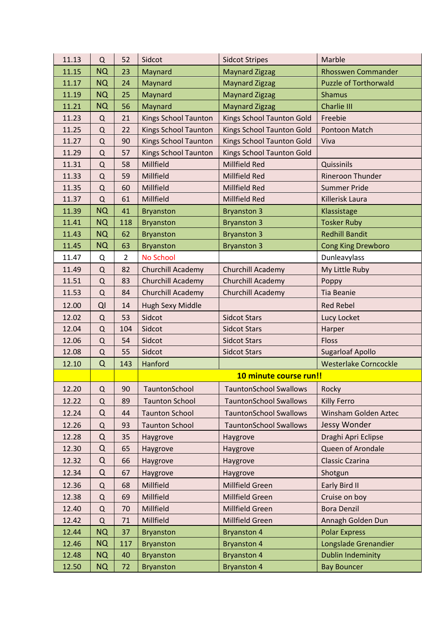| 11.13 | Q           | 52             | Sidcot                      | <b>Sidcot Stripes</b>            | Marble                       |
|-------|-------------|----------------|-----------------------------|----------------------------------|------------------------------|
| 11.15 | <b>NQ</b>   | 23             | Maynard                     | <b>Maynard Zigzag</b>            | <b>Rhosswen Commander</b>    |
| 11.17 | <b>NQ</b>   | 24             | Maynard                     | <b>Maynard Zigzag</b>            | <b>Puzzle of Torthorwald</b> |
| 11.19 | <b>NQ</b>   | 25             | Maynard                     | <b>Maynard Zigzag</b>            | <b>Shamus</b>                |
| 11.21 | <b>NQ</b>   | 56             | Maynard                     | <b>Maynard Zigzag</b>            | <b>Charlie III</b>           |
| 11.23 | Q           | 21             | <b>Kings School Taunton</b> | Kings School Taunton Gold        | Freebie                      |
| 11.25 | $\mathsf Q$ | 22             | <b>Kings School Taunton</b> | <b>Kings School Taunton Gold</b> | Pontoon Match                |
| 11.27 | Q           | 90             | <b>Kings School Taunton</b> | Kings School Taunton Gold        | Viva                         |
| 11.29 | ${\sf Q}$   | 57             | <b>Kings School Taunton</b> | Kings School Taunton Gold        |                              |
| 11.31 | Q           | 58             | Millfield                   | Millfield Red                    | Quissinils                   |
| 11.33 | Q           | 59             | Millfield                   | <b>Millfield Red</b>             | Rineroon Thunder             |
| 11.35 | $\mathsf Q$ | 60             | Millfield                   | <b>Millfield Red</b>             | <b>Summer Pride</b>          |
| 11.37 | Q           | 61             | Millfield                   | Millfield Red                    | Killerisk Laura              |
| 11.39 | <b>NQ</b>   | 41             | <b>Bryanston</b>            | <b>Bryanston 3</b>               | Klassistage                  |
| 11.41 | <b>NQ</b>   | 118            | <b>Bryanston</b>            | <b>Bryanston 3</b>               | <b>Tosker Ruby</b>           |
| 11.43 | <b>NQ</b>   | 62             | <b>Bryanston</b>            | <b>Bryanston 3</b>               | <b>Redhill Bandit</b>        |
| 11.45 | <b>NQ</b>   | 63             | <b>Bryanston</b>            | <b>Bryanston 3</b>               | <b>Cong King Drewboro</b>    |
| 11.47 | Q           | $\overline{2}$ | <b>No School</b>            |                                  | Dunleavylass                 |
| 11.49 | $\Omega$    | 82             | Churchill Academy           | Churchill Academy                | My Little Ruby               |
| 11.51 | ${\sf Q}$   | 83             | Churchill Academy           | Churchill Academy                | Poppy                        |
| 11.53 | $\Omega$    | 84             | Churchill Academy           | Churchill Academy                | <b>Tia Beanie</b>            |
| 12.00 | QI          | 14             | Hugh Sexy Middle            |                                  | <b>Red Rebel</b>             |
| 12.02 | $\Omega$    | 53             | Sidcot                      | <b>Sidcot Stars</b>              | Lucy Locket                  |
| 12.04 | ${\sf Q}$   | 104            | Sidcot                      | <b>Sidcot Stars</b>              | Harper                       |
| 12.06 | ${\sf Q}$   | 54             | Sidcot                      | <b>Sidcot Stars</b>              | <b>Floss</b>                 |
| 12.08 | Q           | 55             | Sidcot                      | <b>Sidcot Stars</b>              | <b>Sugarloaf Apollo</b>      |
| 12.10 | $\Omega$    | 143            | Hanford                     |                                  | <b>Westerlake Corncockle</b> |
|       |             |                |                             | 10 minute course run!!           |                              |
| 12.20 | Q           | 90             | TauntonSchool               | <b>TauntonSchool Swallows</b>    | Rocky                        |
| 12.22 | Q           | 89             | <b>Taunton School</b>       | <b>TauntonSchool Swallows</b>    | <b>Killy Ferro</b>           |
| 12.24 | Q           | 44             | <b>Taunton School</b>       | <b>TauntonSchool Swallows</b>    | Winsham Golden Aztec         |
| 12.26 | Q           | 93             | <b>Taunton School</b>       | <b>TauntonSchool Swallows</b>    | Jessy Wonder                 |
| 12.28 | $\Omega$    | 35             | Haygrove                    | Haygrove                         | Draghi Apri Eclipse          |
| 12.30 | $\Omega$    | 65             | Haygrove                    | Haygrove                         | Queen of Arondale            |
| 12.32 | Q           | 66             | Haygrove                    | Haygrove                         | <b>Classic Czarina</b>       |
| 12.34 | $\Omega$    | 67             | Haygrove                    | Haygrove                         | Shotgun                      |
| 12.36 | Q           | 68             | Millfield                   | Millfield Green                  | Early Bird II                |
| 12.38 | $\Omega$    | 69             | Millfield                   | <b>Millfield Green</b>           | Cruise on boy                |
| 12.40 | Q           | 70             | Millfield                   | Millfield Green                  | <b>Bora Denzil</b>           |
| 12.42 | Q           | 71             | Millfield                   | Millfield Green                  | Annagh Golden Dun            |
| 12.44 | NQ          | 37             | <b>Bryanston</b>            | <b>Bryanston 4</b>               | <b>Polar Express</b>         |
| 12.46 | <b>NQ</b>   | 117            | <b>Bryanston</b>            | <b>Bryanston 4</b>               | Longslade Grenandier         |
|       |             |                |                             |                                  |                              |
| 12.48 | NQ          | 40             | <b>Bryanston</b>            | <b>Bryanston 4</b>               | <b>Dublin Indeminity</b>     |
| 12.50 | <b>NQ</b>   | 72             | <b>Bryanston</b>            | <b>Bryanston 4</b>               | <b>Bay Bouncer</b>           |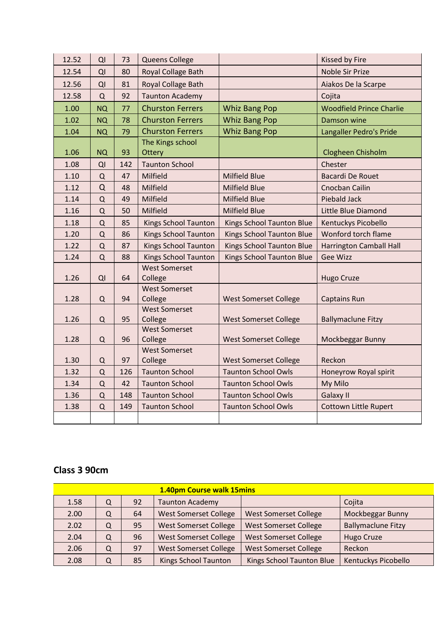| 12.52 | QI          | 73  | <b>Queens College</b>           |                                  | Kissed by Fire                  |
|-------|-------------|-----|---------------------------------|----------------------------------|---------------------------------|
| 12.54 | QI          | 80  | Royal Collage Bath              |                                  | <b>Noble Sir Prize</b>          |
| 12.56 | QI          | 81  | Royal Collage Bath              | Aiakos De la Scarpe              |                                 |
| 12.58 | Q           | 92  | <b>Taunton Academy</b>          |                                  | Cojita                          |
| 1.00  | <b>NQ</b>   | 77  | <b>Churston Ferrers</b>         | <b>Whiz Bang Pop</b>             | <b>Woodfield Prince Charlie</b> |
| 1.02  | <b>NQ</b>   | 78  | <b>Churston Ferrers</b>         | <b>Whiz Bang Pop</b>             | <b>Damson wine</b>              |
| 1.04  | <b>NQ</b>   | 79  | <b>Churston Ferrers</b>         | <b>Whiz Bang Pop</b>             | Langaller Pedro's Pride         |
|       |             |     | The Kings school                |                                  |                                 |
| 1.06  | <b>NQ</b>   | 93  | Ottery                          |                                  | Clogheen Chisholm               |
| 1.08  | QI          | 142 | <b>Taunton School</b>           |                                  | Chester                         |
| 1.10  | Q           | 47  | Milfield                        | <b>Milfield Blue</b>             | <b>Bacardi De Rouet</b>         |
| 1.12  | Q           | 48  | Milfield                        | <b>Milfield Blue</b>             | Cnocban Cailin                  |
| 1.14  | $\mathsf Q$ | 49  | Milfield                        | <b>Milfield Blue</b>             | <b>Piebald Jack</b>             |
| 1.16  | Q           | 50  | Milfield                        | <b>Milfield Blue</b>             | Little Blue Diamond             |
| 1.18  | $\Omega$    | 85  | <b>Kings School Taunton</b>     | <b>Kings School Taunton Blue</b> | Kentuckys Picobello             |
| 1.20  | Q           | 86  | Kings School Taunton            | <b>Kings School Taunton Blue</b> | Wonford torch flame             |
| 1.22  | Q           | 87  | Kings School Taunton            | <b>Kings School Taunton Blue</b> | <b>Harrington Camball Hall</b>  |
| 1.24  | ${\sf Q}$   | 88  | Kings School Taunton            | <b>Kings School Taunton Blue</b> | <b>Gee Wizz</b>                 |
|       |             |     | <b>West Somerset</b>            |                                  |                                 |
| 1.26  | QI          | 64  | College                         |                                  | Hugo Cruze                      |
|       |             |     | <b>West Somerset</b>            |                                  |                                 |
| 1.28  | Q           | 94  | College                         | <b>West Somerset College</b>     | <b>Captains Run</b>             |
|       |             |     | <b>West Somerset</b>            |                                  |                                 |
| 1.26  | Q           | 95  | College<br><b>West Somerset</b> | <b>West Somerset College</b>     | <b>Ballymaclune Fitzy</b>       |
| 1.28  | Q           | 96  | College                         | <b>West Somerset College</b>     | Mockbeggar Bunny                |
|       |             |     | <b>West Somerset</b>            |                                  |                                 |
| 1.30  | Q           | 97  | College                         | <b>West Somerset College</b>     | Reckon                          |
| 1.32  | Q           | 126 | <b>Taunton School</b>           | <b>Taunton School Owls</b>       | Honeyrow Royal spirit           |
| 1.34  | Q           | 42  | <b>Taunton School</b>           | <b>Taunton School Owls</b>       | My Milo                         |
| 1.36  | $\mathsf Q$ | 148 | <b>Taunton School</b>           | <b>Taunton School Owls</b>       | Galaxy II                       |
| 1.38  | $\mathsf Q$ | 149 | <b>Taunton School</b>           | <b>Taunton School Owls</b>       | <b>Cottown Little Rupert</b>    |
|       |             |     |                                 |                                  |                                 |

## **Class 3 90cm**

| 1.40pm Course walk 15mins |   |    |                              |                              |                           |
|---------------------------|---|----|------------------------------|------------------------------|---------------------------|
| 1.58                      | Q | 92 | <b>Taunton Academy</b>       |                              | Cojita                    |
| 2.00                      | Q | 64 | <b>West Somerset College</b> | <b>West Somerset College</b> | Mockbeggar Bunny          |
| 2.02                      | Q | 95 | <b>West Somerset College</b> | <b>West Somerset College</b> | <b>Ballymaclune Fitzy</b> |
| 2.04                      | Q | 96 | <b>West Somerset College</b> | <b>West Somerset College</b> | Hugo Cruze                |
| 2.06                      | Q | 97 | <b>West Somerset College</b> | <b>West Somerset College</b> | Reckon                    |
| 2.08                      | Q | 85 | <b>Kings School Taunton</b>  | Kings School Taunton Blue    | Kentuckys Picobello       |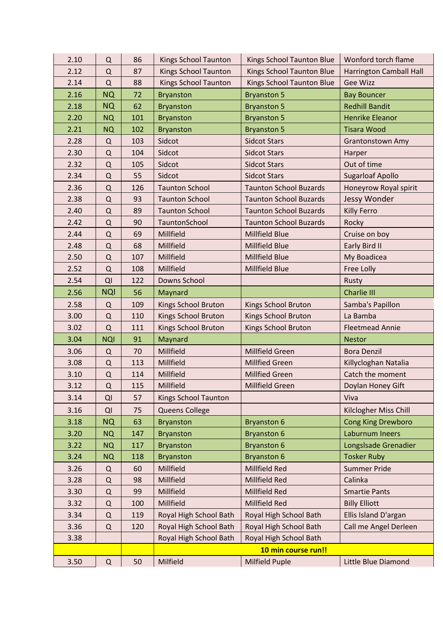| 2.10 | Q           | 86  | <b>Kings School Taunton</b> | <b>Kings School Taunton Blue</b>                 | Wonford torch flame                           |
|------|-------------|-----|-----------------------------|--------------------------------------------------|-----------------------------------------------|
| 2.12 | Q           | 87  | <b>Kings School Taunton</b> | Kings School Taunton Blue                        | Harrington Camball Hall                       |
| 2.14 | Q           | 88  | <b>Kings School Taunton</b> | Kings School Taunton Blue                        | <b>Gee Wizz</b>                               |
| 2.16 | <b>NQ</b>   | 72  | <b>Bryanston</b>            | <b>Bryanston 5</b>                               | <b>Bay Bouncer</b>                            |
| 2.18 | <b>NQ</b>   | 62  | <b>Bryanston</b>            | <b>Bryanston 5</b>                               | <b>Redhill Bandit</b>                         |
| 2.20 | <b>NQ</b>   | 101 | <b>Bryanston</b>            | <b>Bryanston 5</b>                               | <b>Henrike Eleanor</b>                        |
| 2.21 | <b>NQ</b>   | 102 | <b>Bryanston</b>            | <b>Bryanston 5</b>                               | <b>Tisara Wood</b>                            |
| 2.28 | Q           | 103 | Sidcot                      | <b>Sidcot Stars</b>                              | <b>Grantonstown Amy</b>                       |
| 2.30 | Q           | 104 | Sidcot                      | <b>Sidcot Stars</b>                              | Harper                                        |
| 2.32 | Q           | 105 | Sidcot                      | <b>Sidcot Stars</b>                              | Out of time                                   |
| 2.34 | Q           | 55  | Sidcot                      | <b>Sidcot Stars</b>                              | <b>Sugarloaf Apollo</b>                       |
| 2.36 | $\Omega$    | 126 | <b>Taunton School</b>       | <b>Taunton School Buzards</b>                    | Honeyrow Royal spirit                         |
| 2.38 | Q           | 93  | <b>Taunton School</b>       | <b>Taunton School Buzards</b>                    | Jessy Wonder                                  |
| 2.40 | Q           | 89  | <b>Taunton School</b>       | <b>Taunton School Buzards</b>                    | <b>Killy Ferro</b>                            |
| 2.42 | Q           | 90  | TauntonSchool               | <b>Taunton School Buzards</b>                    | Rocky                                         |
| 2.44 | $\Omega$    | 69  | Millfield                   | Millfield Blue                                   | Cruise on boy                                 |
| 2.48 | $\mathsf Q$ | 68  | Millfield                   | <b>Millfield Blue</b>                            | Early Bird II                                 |
| 2.50 | Q           | 107 | Millfield                   | Millfield Blue                                   | My Boadicea                                   |
| 2.52 | Q           | 108 | Millfield                   | Millfield Blue                                   | Free Lolly                                    |
| 2.54 | QI          | 122 | Downs School                |                                                  | Rusty                                         |
| 2.56 | <b>NQI</b>  | 56  | Maynard                     |                                                  | <b>Charlie III</b>                            |
| 2.58 | Q           | 109 | <b>Kings School Bruton</b>  | <b>Kings School Bruton</b>                       | Samba's Papillon                              |
| 3.00 | Q           | 110 | <b>Kings School Bruton</b>  | Kings School Bruton                              | La Bamba                                      |
| 3.02 | Q           | 111 | <b>Kings School Bruton</b>  | <b>Kings School Bruton</b>                       | <b>Fleetmead Annie</b>                        |
| 3.04 | <b>NQI</b>  | 91  | Maynard                     |                                                  | <b>Nestor</b>                                 |
| 3.06 | Q           | 70  | Millfield                   | Millfield Green                                  | <b>Bora Denzil</b>                            |
| 3.08 | Q           | 113 | Millfield                   | <b>Millfied Green</b>                            | Killycloghan Natalia                          |
| 3.10 | Q           | 114 | Millfield                   | <b>Millfied Green</b>                            | Catch the moment                              |
| 3.12 | $\mathsf Q$ | 115 | Millfield                   | Millfield Green                                  | Doylan Honey Gift                             |
| 3.14 | QI          | 57  | <b>Kings School Taunton</b> |                                                  | Viva                                          |
| 3.16 | QI          | 75  | <b>Queens College</b>       |                                                  | Kilclogher Miss Chill                         |
| 3.18 | <b>NQ</b>   | 63  | <b>Bryanston</b>            | <b>Bryanston 6</b>                               | <b>Cong King Drewboro</b>                     |
| 3.20 | <b>NQ</b>   | 147 | <b>Bryanston</b>            | <b>Bryanston 6</b>                               | <b>Laburnum Ineers</b>                        |
| 3.22 | <b>NQ</b>   | 117 | <b>Bryanston</b>            | <b>Bryanston 6</b>                               | LongsIsade Grenadier                          |
| 3.24 | <b>NQ</b>   | 118 | <b>Bryanston</b>            | <b>Bryanston 6</b>                               | <b>Tosker Ruby</b>                            |
| 3.26 | Q           | 60  | Millfield                   | Millfield Red                                    | <b>Summer Pride</b>                           |
| 3.28 | $\Omega$    | 98  | Millfield                   | Millfield Red                                    | Calinka                                       |
| 3.30 | Q           | 99  | Millfield                   | Millfield Red                                    | <b>Smartie Pants</b>                          |
| 3.32 | Q           | 100 | Millfield                   | Millfield Red                                    | <b>Billy Elliott</b>                          |
| 3.34 |             |     |                             |                                                  |                                               |
|      | Q           | 119 | Royal High School Bath      |                                                  |                                               |
| 3.36 | $\Omega$    | 120 | Royal High School Bath      | Royal High School Bath<br>Royal High School Bath | Ellis Island D'argan<br>Call me Angel Derleen |
| 3.38 |             |     | Royal High School Bath      | Royal High School Bath                           |                                               |
|      |             |     |                             | 10 min course run!!                              |                                               |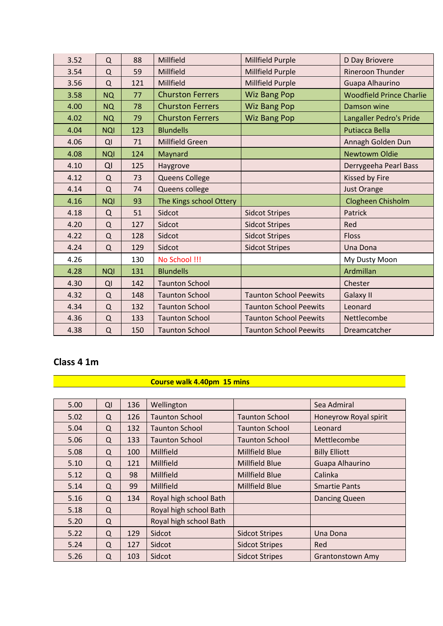| 3.52 | Q          | 88  | Millfield               | Millfield Purple              | D Day Briovere                  |
|------|------------|-----|-------------------------|-------------------------------|---------------------------------|
| 3.54 | Q          | 59  | Millfield               | Millfield Purple              | <b>Rineroon Thunder</b>         |
| 3.56 | Q          | 121 | Millfield               | Millfield Purple              | Guapa Alhaurino                 |
| 3.58 | <b>NQ</b>  | 77  | <b>Churston Ferrers</b> | <b>Wiz Bang Pop</b>           | <b>Woodfield Prince Charlie</b> |
| 4.00 | <b>NQ</b>  | 78  | <b>Churston Ferrers</b> | <b>Wiz Bang Pop</b>           | Damson wine                     |
| 4.02 | <b>NQ</b>  | 79  | <b>Churston Ferrers</b> | <b>Wiz Bang Pop</b>           | Langaller Pedro's Pride         |
| 4.04 | <b>NQI</b> | 123 | <b>Blundells</b>        |                               | <b>Putiacca Bella</b>           |
| 4.06 | QI         | 71  | Millfield Green         |                               | Annagh Golden Dun               |
| 4.08 | <b>NQI</b> | 124 | Maynard                 |                               | <b>Newtowm Oldie</b>            |
| 4.10 | QI         | 125 | Haygrove                |                               | Derrygeeha Pearl Bass           |
| 4.12 | Q          | 73  | Queens College          |                               | Kissed by Fire                  |
| 4.14 | $\Omega$   | 74  | Queens college          |                               | <b>Just Orange</b>              |
| 4.16 | <b>NQI</b> | 93  | The Kings school Ottery |                               | Clogheen Chisholm               |
| 4.18 | $\Omega$   | 51  | Sidcot                  | <b>Sidcot Stripes</b>         | Patrick                         |
| 4.20 | Q          | 127 | Sidcot                  | <b>Sidcot Stripes</b>         | Red                             |
| 4.22 | Q          | 128 | Sidcot                  | <b>Sidcot Stripes</b>         | <b>Floss</b>                    |
| 4.24 | Q          | 129 | Sidcot                  | <b>Sidcot Stripes</b>         | Una Dona                        |
| 4.26 |            | 130 | No School !!!           |                               | My Dusty Moon                   |
| 4.28 | <b>NQI</b> | 131 | <b>Blundells</b>        |                               | Ardmillan                       |
| 4.30 | QI         | 142 | <b>Taunton School</b>   |                               | Chester                         |
| 4.32 | $\Omega$   | 148 | <b>Taunton School</b>   | <b>Taunton School Peewits</b> | Galaxy II                       |
| 4.34 | $\Omega$   | 132 | <b>Taunton School</b>   | <b>Taunton School Peewits</b> | Leonard                         |
| 4.36 | Q          | 133 | <b>Taunton School</b>   | <b>Taunton School Peewits</b> | Nettlecombe                     |
| 4.38 | Q          | 150 | <b>Taunton School</b>   | <b>Taunton School Peewits</b> | Dreamcatcher                    |

#### **Class 4 1m**

| 5.00 | QI       | 136 | Wellington             |                       | Sea Admiral             |
|------|----------|-----|------------------------|-----------------------|-------------------------|
| 5.02 | Q        | 126 | <b>Taunton School</b>  | <b>Taunton School</b> | Honeyrow Royal spirit   |
| 5.04 | Q        | 132 | <b>Taunton School</b>  | <b>Taunton School</b> | Leonard                 |
| 5.06 | Q        | 133 | <b>Taunton School</b>  | <b>Taunton School</b> | Mettlecombe             |
| 5.08 | Q        | 100 | Millfield              | Millfield Blue        | <b>Billy Elliott</b>    |
| 5.10 | Q        | 121 | Millfield              | Millfield Blue        | Guapa Alhaurino         |
| 5.12 | Q        | 98  | Millfield              | Millfield Blue        | Calinka                 |
| 5.14 | Q        | 99  | Millfield              | Millfield Blue        | <b>Smartie Pants</b>    |
| 5.16 | Q        | 134 | Royal high school Bath |                       | <b>Dancing Queen</b>    |
| 5.18 | Q        |     | Royal high school Bath |                       |                         |
| 5.20 | Q        |     | Royal high school Bath |                       |                         |
| 5.22 | $\Omega$ | 129 | Sidcot                 | <b>Sidcot Stripes</b> | Una Dona                |
| 5.24 | Q        | 127 | Sidcot                 | <b>Sidcot Stripes</b> | <b>Red</b>              |
| 5.26 | Q        | 103 | Sidcot                 | <b>Sidcot Stripes</b> | <b>Grantonstown Amy</b> |

**Course walk 4.40pm 15 mins**